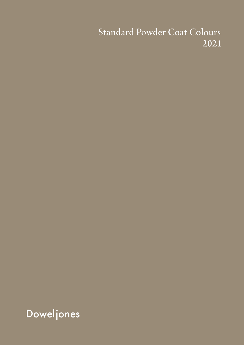#### Standard Powder Coat Colours 2021

**Doweljones**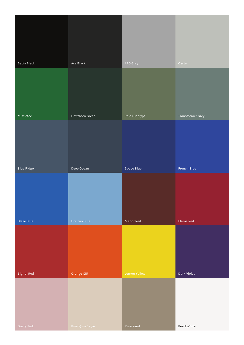| Satin Black       | Ace Black           | APO Grey      | Oyster                  |
|-------------------|---------------------|---------------|-------------------------|
|                   |                     |               |                         |
| Mistletoe         | Hawthorn Green      | Pale Eucalypt | <b>Transformer Grey</b> |
|                   |                     |               |                         |
| <b>Blue Ridge</b> | Deep Ocean          | Space Blue    | French Blue             |
|                   |                     |               |                         |
| <b>Blaze Blue</b> | <b>Horizon Blue</b> | Manor Red     | Flame Red               |
|                   |                     |               |                         |
| Signal Red        | Orange X15          | Lemon Yellow  | Dark Violet             |
| Dusty Pink        | Rivergum Beige      | Riversand     | Pearl White             |
|                   |                     |               |                         |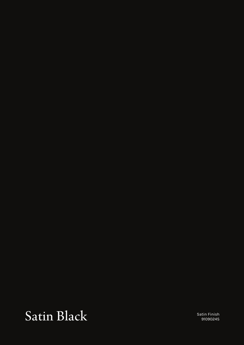## Satin Black

Satin Finish 9109024S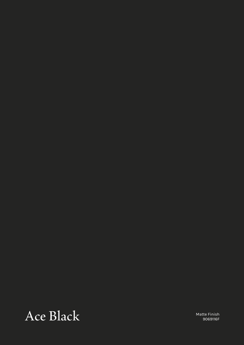#### Ace Black

Matte Finish 9069116F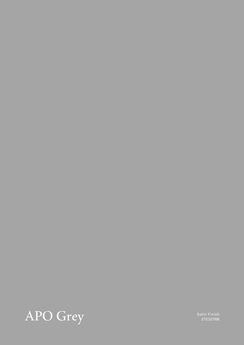

Satin Finish<br>27232786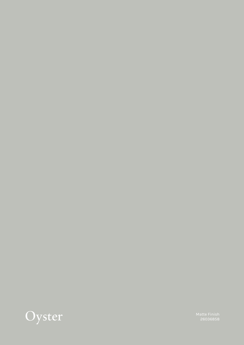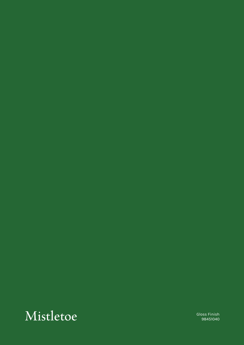#### Mistletoe Gloss Finish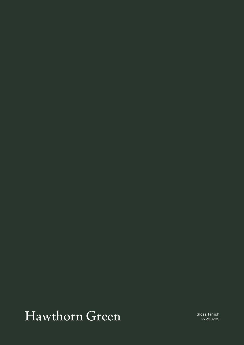## Hawthorn Green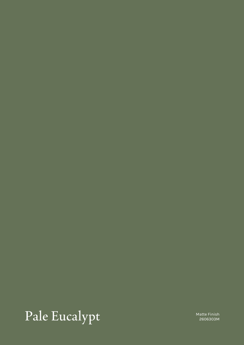# Pale Eucalypt

Matte Finish 2606303M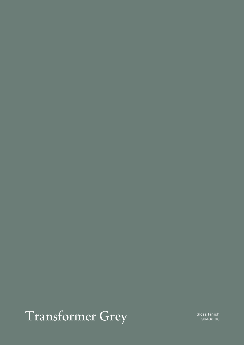# Transformer Grey Gloss Finish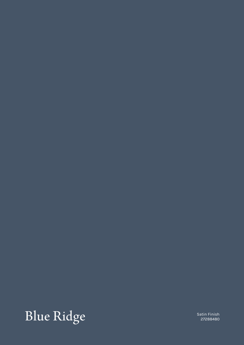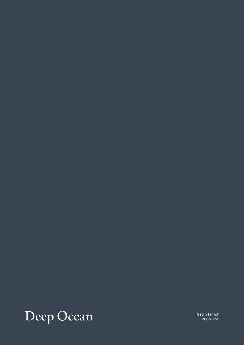

Satin Finish 2605125S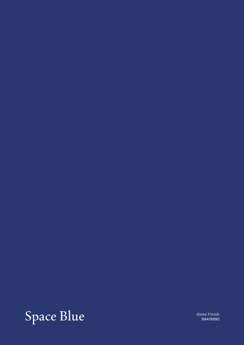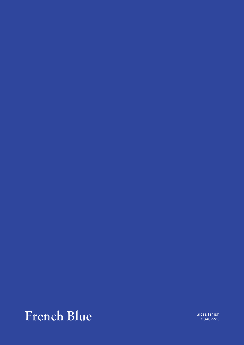#### French Blue Gloss Finish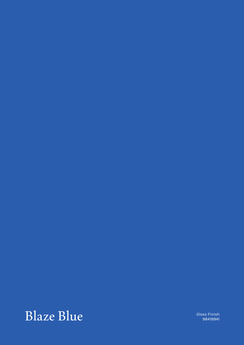#### $Blaze Blue$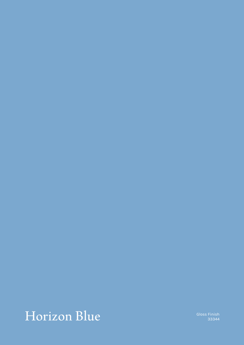## Horizon Blue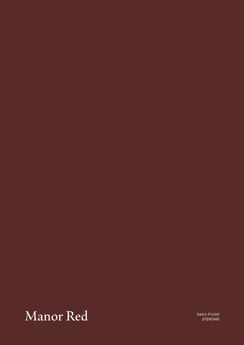#### Manor Red

Satin Finish 2724134S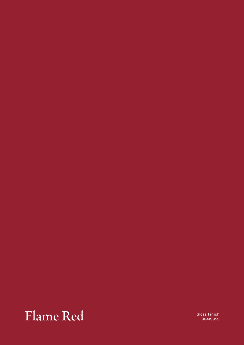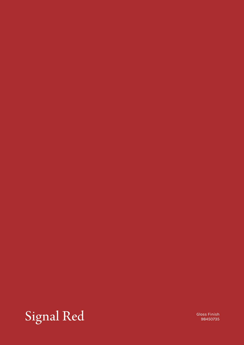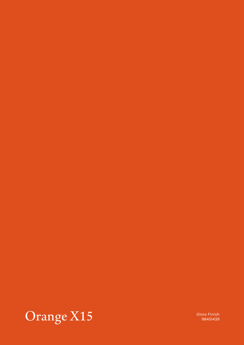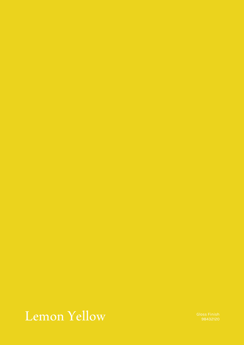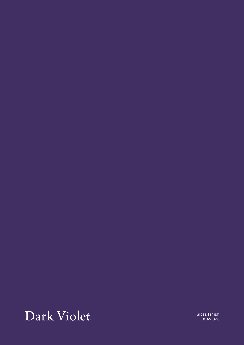### Dark Violet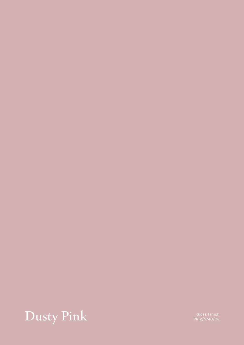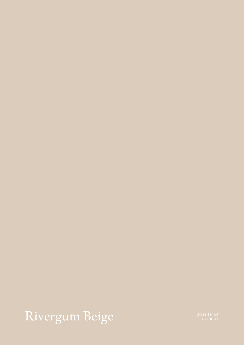# Rivergum Beige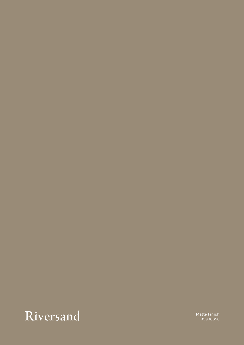

Matte Finish 95936656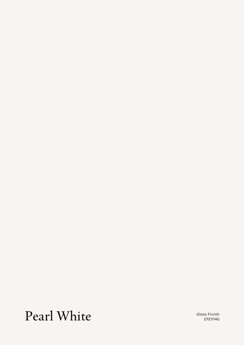#### Pearl White Gloss Finish

2721114G